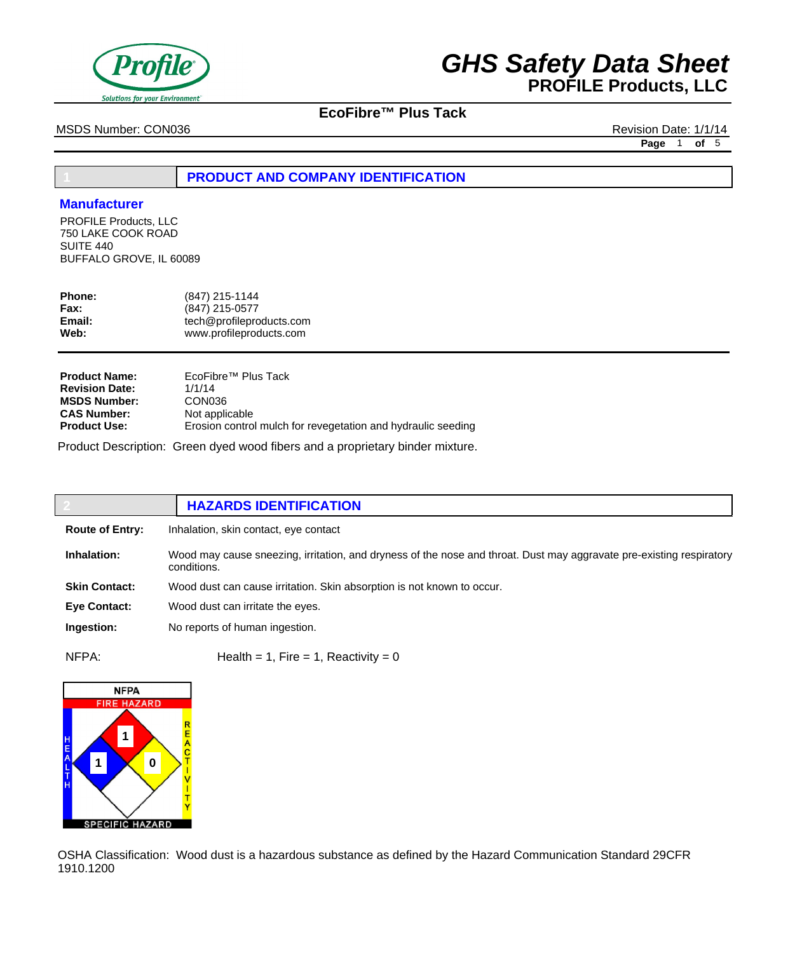

## **EcoFibre™ Plus Tack**

MSDS Number: CON036 Revision Date: 1/1/14

**Page** 1 **of** 5

## **1 PRODUCT AND COMPANY IDENTIFICATION**

### **Manufacturer**

PROFILE Products, LLC 750 LAKE COOK ROAD SUITE 440 BUFFALO GROVE, IL 60089

| (847) 215-0577                                      |
|-----------------------------------------------------|
| tech@profileproducts.com<br>www.profileproducts.com |
|                                                     |

| <b>Product Name:</b>  | EcoFibre <sup>™</sup> Plus Tack                              |
|-----------------------|--------------------------------------------------------------|
| <b>Revision Date:</b> | 1/1/14                                                       |
| <b>MSDS Number:</b>   | CON <sub>036</sub>                                           |
| <b>CAS Number:</b>    | Not applicable                                               |
| <b>Product Use:</b>   | Erosion control mulch for revegetation and hydraulic seeding |

Product Description: Green dyed wood fibers and a proprietary binder mixture.

|                        | <b>HAZARDS IDENTIFICATION</b>                                                                                                       |
|------------------------|-------------------------------------------------------------------------------------------------------------------------------------|
| <b>Route of Entry:</b> | Inhalation, skin contact, eye contact                                                                                               |
| Inhalation:            | Wood may cause sneezing, irritation, and dryness of the nose and throat. Dust may aggravate pre-existing respiratory<br>conditions. |
| <b>Skin Contact:</b>   | Wood dust can cause irritation. Skin absorption is not known to occur.                                                              |
| Eye Contact:           | Wood dust can irritate the eyes.                                                                                                    |
| Ingestion:             | No reports of human ingestion.                                                                                                      |
| $\cdots$               |                                                                                                                                     |

 $NFPA:$  Health = 1, Fire = 1, Reactivity = 0



OSHA Classification: Wood dust is a hazardous substance as defined by the Hazard Communication Standard 29CFR 1910.1200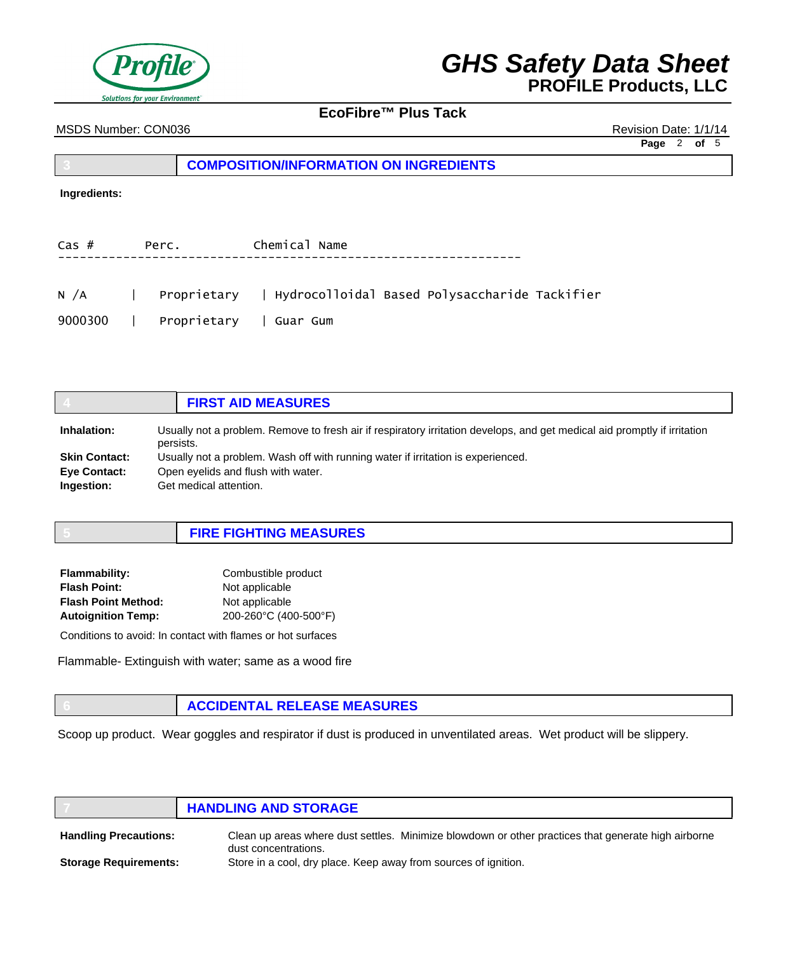

## **EcoFibre™ Plus Tack**

MSDS Number: CON036 Revision Date: 1/1/14

**Page** 2 **of** 5

## **3 COMPOSITION/INFORMATION ON INGREDIENTS**

### **Ingredients:**

| Cas #   | Perc.                  | Chemical Name |  |                                                                        |  |
|---------|------------------------|---------------|--|------------------------------------------------------------------------|--|
|         |                        |               |  |                                                                        |  |
|         |                        |               |  | N /A      Proprietary    Hydrocolloidal Based Polysaccharide Tackifier |  |
| 9000300 | Proprietary   Guar Gum |               |  |                                                                        |  |

|                      | <b>FIRST AID MEASURES</b>                                                                                                              |
|----------------------|----------------------------------------------------------------------------------------------------------------------------------------|
| Inhalation:          | Usually not a problem. Remove to fresh air if respiratory irritation develops, and get medical aid promptly if irritation<br>persists. |
| <b>Skin Contact:</b> | Usually not a problem. Wash off with running water if irritation is experienced.                                                       |
| <b>Eye Contact:</b>  | Open eyelids and flush with water.                                                                                                     |
| Ingestion:           | Get medical attention.                                                                                                                 |

| <b>FIRE FIGHTING MEASURES</b> |
|-------------------------------|
|-------------------------------|

| Combustible product   |
|-----------------------|
| Not applicable        |
| Not applicable        |
| 200-260°C (400-500°F) |
|                       |

Conditions to avoid: In contact with flames or hot surfaces

Flammable- Extinguish with water; same as a wood fire

|  | <b>ACCIDENTAL RELEASE MEASURES</b> |
|--|------------------------------------|
|--|------------------------------------|

Scoop up product. Wear goggles and respirator if dust is produced in unventilated areas. Wet product will be slippery.

|                              | <b>HANDLING AND STORAGE</b>                                                                                                 |
|------------------------------|-----------------------------------------------------------------------------------------------------------------------------|
| <b>Handling Precautions:</b> | Clean up areas where dust settles. Minimize blowdown or other practices that generate high airborne<br>dust concentrations. |
| <b>Storage Requirements:</b> | Store in a cool, dry place. Keep away from sources of ignition.                                                             |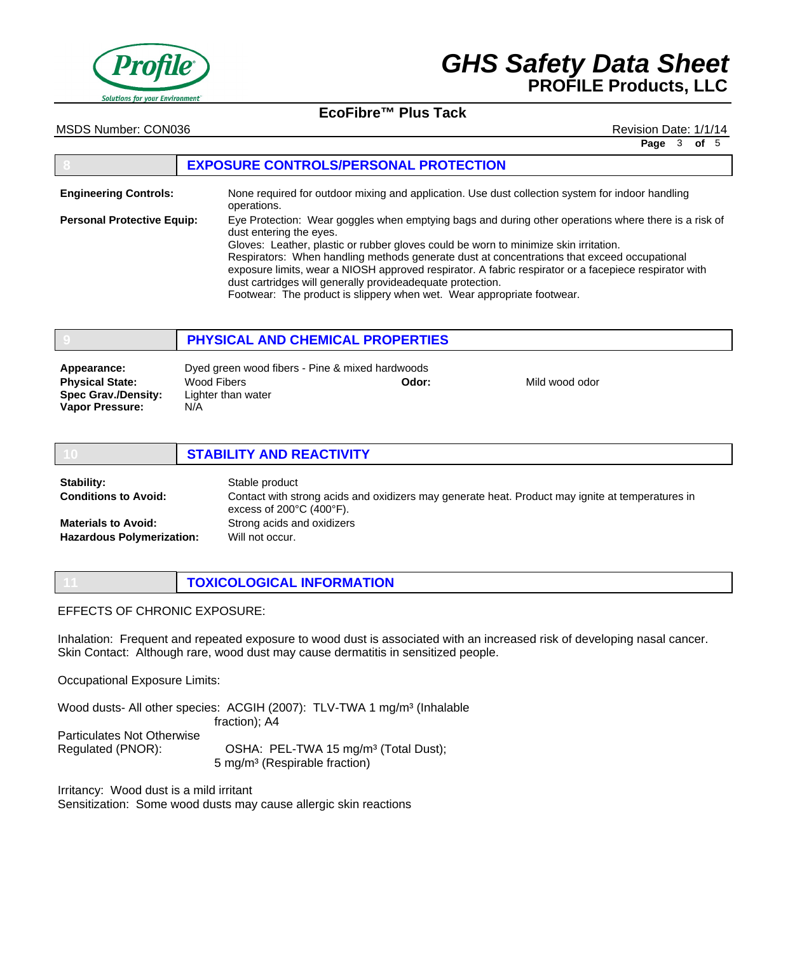

## **EcoFibre™ Plus Tack**

MSDS Number: CON036 Revision Date: 1/1/14

**Page** 3 **of** 5

#### **8 EXPOSURE CONTROLS/PERSONAL PROTECTION** None required for outdoor mixing and application. Use dust collection system for indoor handling operations. Eye Protection: Wear goggles when emptying bags and during other operations where there is a risk of dust entering the eyes. Gloves: Leather, plastic or rubber gloves could be worn to minimize skin irritation. Respirators: When handling methods generate dust at concentrations that exceed occupational exposure limits, wear a NIOSH approved respirator. A fabric respirator or a facepiece respirator with dust cartridges will generally provideadequate protection. Footwear: The product is slippery when wet. Wear appropriate footwear. **Engineering Controls: Personal Protective Equip:**

|                                                                                               | <b>PHYSICAL AND CHEMICAL PROPERTIES</b>                                                     |       |                |  |
|-----------------------------------------------------------------------------------------------|---------------------------------------------------------------------------------------------|-------|----------------|--|
| Appearance:<br><b>Physical State:</b><br><b>Spec Grav./Density:</b><br><b>Vapor Pressure:</b> | Dyed green wood fibers - Pine & mixed hardwoods<br>Wood Fibers<br>Lighter than water<br>N/A | Odor: | Mild wood odor |  |

|                                                                | <b>STABILITY AND REACTIVITY</b>                                                                                                                                     |
|----------------------------------------------------------------|---------------------------------------------------------------------------------------------------------------------------------------------------------------------|
| Stability:<br><b>Conditions to Avoid:</b>                      | Stable product<br>Contact with strong acids and oxidizers may generate heat. Product may ignite at temperatures in<br>excess of $200^{\circ}$ C (400 $^{\circ}$ F). |
| <b>Materials to Avoid:</b><br><b>Hazardous Polymerization:</b> | Strong acids and oxidizers<br>Will not occur.                                                                                                                       |

EFFECTS OF CHRONIC EXPOSURE:

Inhalation: Frequent and repeated exposure to wood dust is associated with an increased risk of developing nasal cancer. Skin Contact: Although rare, wood dust may cause dermatitis in sensitized people.

Occupational Exposure Limits:

Wood dusts- All other species: ACGIH (2007): TLV-TWA 1 mg/m<sup>3</sup> (Inhalable fraction); A4 Particulates Not Otherwise Regulated (PNOR): OSHA: PEL-TWA 15 mg/m<sup>3</sup> (Total Dust); 5 mg/m³ (Respirable fraction)

**11 TOXICOLOGICAL INFORMATION**

Irritancy: Wood dust is a mild irritant Sensitization: Some wood dusts may cause allergic skin reactions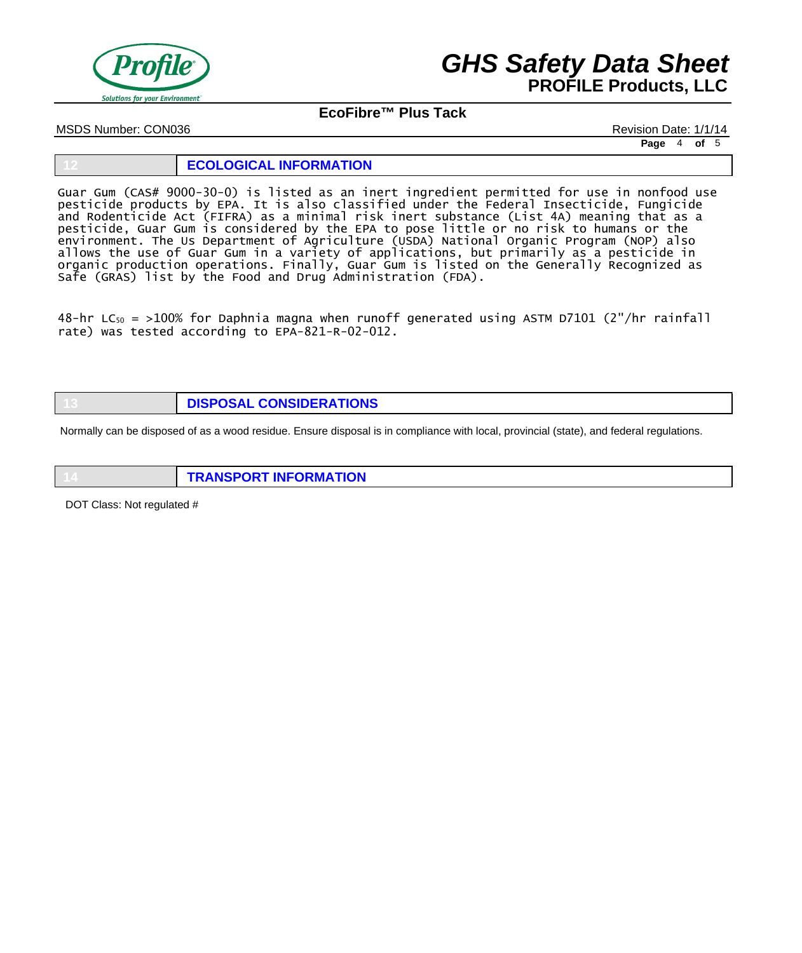

## **EcoFibre™ Plus Tack**

MSDS Number: CON036 Revision Date: 1/1/14

**Page** 4 **of** 5

#### **12 ECOLOGICAL INFORMATION**

Guar Gum (CAS# 9000-30-0) is listed as an inert ingredient permitted for use in nonfood use pesticide products by EPA. It is also classified under the Federal Insecticide, Fungicide and Rodenticide Act (FIFRA) as a minimal risk inert substance (List 4A) meaning that as a pesticide, Guar Gum is considered by the EPA to pose little or no risk to humans or the environment. The Us Department of Agriculture (USDA) National Organic Program (NOP) also allows the use of Guar Gum in a variety of applications, but primarily as a pesticide in organic production operations. Finally, Guar Gum is listed on the Generally Recognized as Safe (GRAS) list by the Food and Drug Administration (FDA).

48-hr LC<sub>50</sub> = >100% for Daphnia magna when runoff generated using ASTM D7101 (2"/hr rainfall rate) was tested according to EPA-821-R-02-012.

**13 DISPOSAL CONSIDERATIONS**

Normally can be disposed of as a wood residue. Ensure disposal is in compliance with local, provincial (state), and federal regulations.

**14 TRANSPORT INFORMATION**

DOT Class: Not regulated #